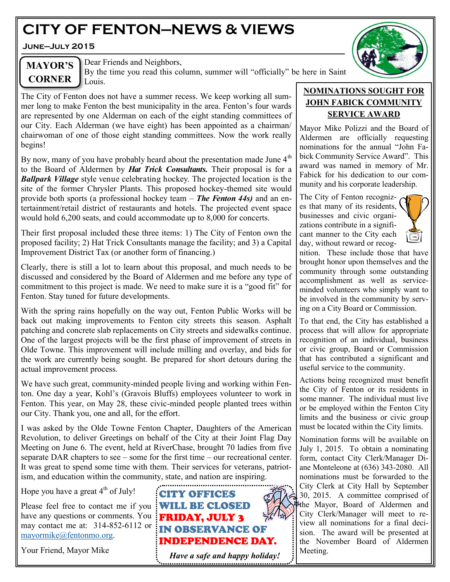# **CITY OF FENTON—NEWS & VIEWS**

**June—July 2015**



# **MAYOR'S CORNER**

Dear Friends and Neighbors,

By the time you read this column, summer will "officially" be here in Saint Louis.

The City of Fenton does not have a summer recess. We keep working all summer long to make Fenton the best municipality in the area. Fenton's four wards are represented by one Alderman on each of the eight standing committees of our City. Each Alderman (we have eight) has been appointed as a chairman/ chairwoman of one of those eight standing committees. Now the work really begins!

By now, many of you have probably heard about the presentation made June  $4<sup>th</sup>$ to the Board of Aldermen by *Hat Trick Consultants.* Their proposal is for a *Ballpark Village* style venue celebrating hockey. The projected location is the site of the former Chrysler Plants. This proposed hockey-themed site would provide both sports (a professional hockey team – *The Fenton 44s)* and an entertainment/retail district of restaurants and hotels. The projected event space would hold 6,200 seats, and could accommodate up to 8,000 for concerts.

Their first proposal included these three items: 1) The City of Fenton own the proposed facility; 2) Hat Trick Consultants manage the facility; and 3) a Capital Improvement District Tax (or another form of financing.)

Clearly, there is still a lot to learn about this proposal, and much needs to be discussed and considered by the Board of Aldermen and me before any type of commitment to this project is made. We need to make sure it is a "good fit" for Fenton. Stay tuned for future developments.

With the spring rains hopefully on the way out, Fenton Public Works will be back out making improvements to Fenton city streets this season. Asphalt patching and concrete slab replacements on City streets and sidewalks continue. One of the largest projects will be the first phase of improvement of streets in Olde Towne. This improvement will include milling and overlay, and bids for the work are currently being sought. Be prepared for short detours during the actual improvement process.

We have such great, community-minded people living and working within Fenton. One day a year, Kohl's (Gravois Bluffs) employees volunteer to work in Fenton. This year, on May 28, these civic-minded people planted trees within our City. Thank you, one and all, for the effort.

I was asked by the Olde Towne Fenton Chapter, Daughters of the American Revolution, to deliver Greetings on behalf of the City at their Joint Flag Day Meeting on June 6. The event, held at RiverChase, brought 70 ladies from five separate DAR chapters to see – some for the first time – our recreational center. It was great to spend some time with them. Their services for veterans, patriotism, and education within the community, state, and nation are inspiring.

Hope you have a great  $4<sup>th</sup>$  of July!

Please feel free to contact me if you **WILL BE CLOSED** have any questions or comments. You **FRIDAY, JULY 3** may contact me at: 314-852-6112 or **IN OBSERVANCE OF** [mayormike@fentonmo.org.](mailto:mayormike@fentonmo.org)

Your Friend, Mayor Mike



# **NOMINATIONS SOUGHT FOR JOHN FABICK COMMUNITY SERVICE AWARD**

Mayor Mike Polizzi and the Board of Aldermen are officially requesting nominations for the annual "John Fabick Community Service Award". This award was named in memory of Mr. Fabick for his dedication to our community and his corporate leadership.

The City of Fenton recognizes that many of its residents, businesses and civic organizations contribute in a significant manner to the City each day, without reward or recog-



nition. These include those that have brought honor upon themselves and the community through some outstanding accomplishment as well as serviceminded volunteers who simply want to be involved in the community by serving on a City Board or Commission.

To that end, the City has established a process that will allow for appropriate recognition of an individual, business or civic group, Board or Commission that has contributed a significant and useful service to the community.

Actions being recognized must benefit the City of Fenton or its residents in some manner. The individual must live or be employed within the Fenton City limits and the business or civic group must be located within the City limits.

Nomination forms will be available on July 1, 2015. To obtain a nominating form, contact City Clerk/Manager Diane Monteleone at (636) 343-2080. All nominations must be forwarded to the City Clerk at City Hall by September  $30, 2015$ . A committee comprised of the Mayor, Board of Aldermen and City Clerk/Manager will meet to review all nominations for a final decision. The award will be presented at the November Board of Aldermen Meeting.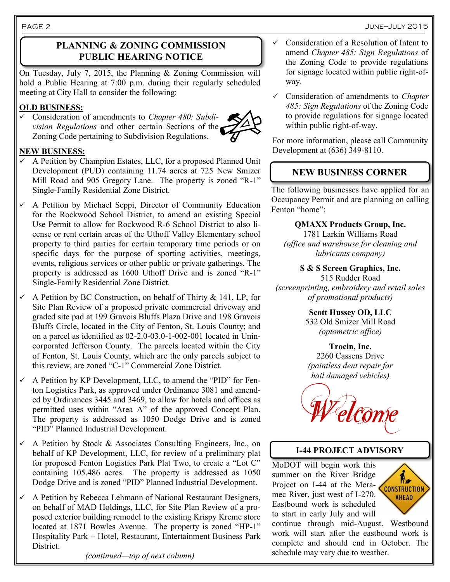# **PLANNING & ZONING COMMISSION PUBLIC HEARING NOTICE**

On Tuesday, July 7, 2015, the Planning & Zoning Commission will hold a Public Hearing at 7:00 p.m. during their regularly scheduled meeting at City Hall to consider the following:

#### **OLD BUSINESS:**

 Consideration of amendments to *Chapter 480: Subdivision Regulations* and other certain Sections of the Zoning Code pertaining to Subdivision Regulations.



#### **NEW BUSINESS:**

- A Petition by Champion Estates, LLC, for a proposed Planned Unit Development (PUD) containing 11.74 acres at 725 New Smizer Mill Road and 905 Gregory Lane. The property is zoned "R-1" Single-Family Residential Zone District.
- $\checkmark$  A Petition by Michael Seppi, Director of Community Education for the Rockwood School District, to amend an existing Special Use Permit to allow for Rockwood R-6 School District to also license or rent certain areas of the Uthoff Valley Elementary school property to third parties for certain temporary time periods or on specific days for the purpose of sporting activities, meetings, events, religious services or other public or private gatherings. The property is addressed as 1600 Uthoff Drive and is zoned "R-1" Single-Family Residential Zone District.
- $\checkmark$  A Petition by BC Construction, on behalf of Thirty & 141, LP, for Site Plan Review of a proposed private commercial driveway and graded site pad at 199 Gravois Bluffs Plaza Drive and 198 Gravois Bluffs Circle, located in the City of Fenton, St. Louis County; and on a parcel as identified as 02-2.0-03.0-1-002-001 located in Unincorporated Jefferson County. The parcels located within the City of Fenton, St. Louis County, which are the only parcels subject to this review, are zoned "C-1" Commercial Zone District.
- A Petition by KP Development, LLC, to amend the "PID" for Fenton Logistics Park, as approved under Ordinance 3081 and amended by Ordinances 3445 and 3469, to allow for hotels and offices as permitted uses within "Area A" of the approved Concept Plan. The property is addressed as 1050 Dodge Drive and is zoned "PID" Planned Industrial Development.
- $\checkmark$  A Petition by Stock & Associates Consulting Engineers, Inc., on behalf of KP Development, LLC, for review of a preliminary plat for proposed Fenton Logistics Park Plat Two, to create a "Lot C" containing 105.486 acres. The property is addressed as 1050 Dodge Drive and is zoned "PID" Planned Industrial Development.
- $\checkmark$  A Petition by Rebecca Lehmann of National Restaurant Designers, on behalf of MAD Holdings, LLC, for Site Plan Review of a proposed exterior building remodel to the existing Krispy Kreme store located at 1871 Bowles Avenue. The property is zoned "HP-1" Hospitality Park – Hotel, Restaurant, Entertainment Business Park District.

*(continued—top of next column)*

- Consideration of a Resolution of Intent to amend *Chapter 485: Sign Regulations* of the Zoning Code to provide regulations for signage located within public right-ofway.
- Consideration of amendments to *Chapter 485: Sign Regulations* of the Zoning Code to provide regulations for signage located within public right-of-way.

For more information, please call Community Development at (636) 349-8110.

# **NEW BUSINESS CORNER**

The following businesses have applied for an Occupancy Permit and are planning on calling Fenton "home":

**QMAXX Products Group, Inc.** 1781 Larkin Williams Road *(office and warehouse for cleaning and lubricants company)*

**S & S Screen Graphics, Inc.** 515 Rudder Road *(screenprinting, embroidery and retail sales of promotional products)*

> **Scott Hussey OD, LLC** 532 Old Smizer Mill Road *(optometric office)*

**Trocin, Inc.** 2260 Cassens Drive *(paintless dent repair for hail damaged vehicles)*



# **I-44 PROJECT ADVISORY**

MoDOT will begin work this summer on the River Bridge Project on I-44 at the Meramec River, just west of I-270. Eastbound work is scheduled to start in early July and will



continue through mid-August. Westbound work will start after the eastbound work is complete and should end in October. The schedule may vary due to weather.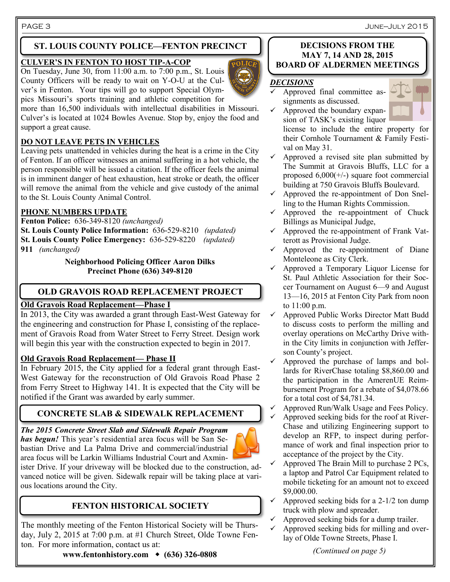PAGE 3 June—July 2015

# **ST. LOUIS COUNTY POLICE—FENTON PRECINCT**

#### **CULVER'S IN FENTON TO HOST TIP-A-COP**

On Tuesday, June 30, from  $11:00$  a.m. to  $7:00$  p.m., St. Louis County Officers will be ready to wait on Y-O-U at the Culver's in Fenton. Your tips will go to support Special Olympics Missouri's sports training and athletic competition for



more than 16,500 individuals with intellectual disabilities in Missouri. Culver's is located at 1024 Bowles Avenue. Stop by, enjoy the food and support a great cause.

#### **DO NOT LEAVE PETS IN VEHICLES**

Leaving pets unattended in vehicles during the heat is a crime in the City of Fenton. If an officer witnesses an animal suffering in a hot vehicle, the person responsible will be issued a citation. If the officer feels the animal is in imminent danger of heat exhaustion, heat stroke or death, the officer will remove the animal from the vehicle and give custody of the animal to the St. Louis County Animal Control.

#### **PHONE NUMBERS UPDATE**

**Fenton Police:** 636-349-8120 *(unchanged)*

**St. Louis County Police Information:** 636-529-8210 *(updated)* **St. Louis County Police Emergency:** 636-529-8220 *(updated)* **911** *(unchanged)* 

> **Neighborhood Policing Officer Aaron Dilks Precinct Phone (636) 349-8120**

# **OLD GRAVOIS ROAD REPLACEMENT PROJECT**

#### **Old Gravois Road Replacement—Phase I**

In 2013, the City was awarded a grant through East-West Gateway for the engineering and construction for Phase I, consisting of the replacement of Gravois Road from Water Street to Ferry Street. Design work will begin this year with the construction expected to begin in 2017.

#### **Old Gravois Road Replacement— Phase II**

In February 2015, the City applied for a federal grant through East-West Gateway for the reconstruction of Old Gravois Road Phase 2 from Ferry Street to Highway 141. It is expected that the City will be notified if the Grant was awarded by early summer.

# **CONCRETE SLAB & SIDEWALK REPLACEMENT**

*The 2015 Concrete Street Slab and Sidewalk Repair Program has begun!* This year's residential area focus will be San Sebastian Drive and La Palma Drive and commercial/industrial area focus will be Larkin Williams Industrial Court and Axminister Drive. If your driveway will be blocked due to the construction, ad-

vanced notice will be given. Sidewalk repair will be taking place at various locations around the City.

# **FENTON HISTORICAL SOCIETY**

The monthly meeting of the Fenton Historical Society will be Thursday, July 2, 2015 at 7:00 p.m. at #1 Church Street, Olde Towne Fenton. For more information, contact us at:

# **www.fentonhistory.com (636) 326-0808**

#### **DECISIONS FROM THE MAY 7, 14 AND 28, 2015 BOARD OF ALDERMEN MEETINGS**

#### *DECISIONS*



 $\checkmark$  Approved the boundary expansion of TASK's existing liquor

license to include the entire property for their Cornhole Tournament & Family Festival on May 31.

- $\checkmark$  Approved a revised site plan submitted by The Summit at Gravois Bluffs, LLC for a proposed 6,000(+/-) square foot commercial building at 750 Gravois Bluffs Boulevard.
- $\checkmark$  Approved the re-appointment of Don Snelling to the Human Rights Commission.
- $\checkmark$  Approved the re-appointment of Chuck Billings as Municipal Judge,
- $\checkmark$  Approved the re-appointment of Frank Vatterott as Provisional Judge.
- $\checkmark$  Approved the re-appointment of Diane Monteleone as City Clerk.
- $\checkmark$  Approved a Temporary Liquor License for St. Paul Athletic Association for their Soccer Tournament on August 6—9 and August 13—16, 2015 at Fenton City Park from noon to 11:00 p.m.
- $\checkmark$  Approved Public Works Director Matt Budd to discuss costs to perform the milling and overlay operations on McCarthy Drive within the City limits in conjunction with Jefferson County's project.
- $\checkmark$  Approved the purchase of lamps and bollards for RiverChase totaling \$8,860.00 and the participation in the AmerenUE Reimbursement Program for a rebate of \$4,078.66 for a total cost of \$4,781.34.
- $\checkmark$  Approved Run/Walk Usage and Fees Policy.
- Approved seeking bids for the roof at River-Chase and utilizing Engineering support to develop an RFP, to inspect during performance of work and final inspection prior to acceptance of the project by the City.
- Approved The Brain Mill to purchase 2 PCs, a laptop and Patrol Car Equipment related to mobile ticketing for an amount not to exceed \$9,000.00.
- $\checkmark$  Approved seeking bids for a 2-1/2 ton dump truck with plow and spreader.
- $\checkmark$  Approved seeking bids for a dump trailer.
- $\checkmark$  Approved seeking bids for milling and overlay of Olde Towne Streets, Phase I.

#### *(Continued on page 5)*

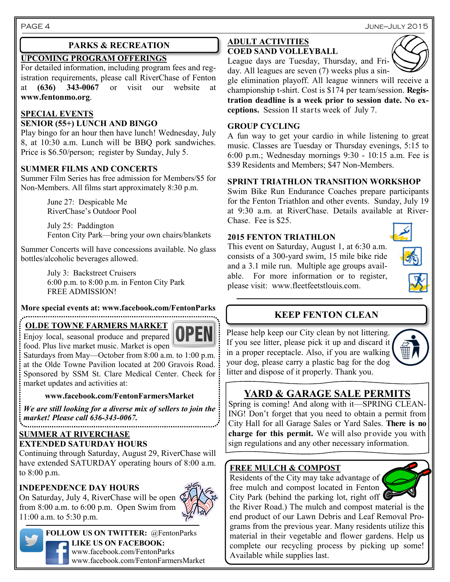#### **UPCOMING PROGRAM OFFERINGS**

For detailed information, including program fees and registration requirements, please call RiverChase of Fenton at **(636)** 343-0067 or visit our website **www.fentonmo.org**.

#### **SPECIAL EVENTS**

#### **SENIOR (55+) LUNCH AND BINGO**

Play bingo for an hour then have lunch! Wednesday, July 8, at 10:30 a.m. Lunch will be BBQ pork sandwiches. Price is \$6.50/person; register by Sunday, July 5.

#### **SUMMER FILMS AND CONCERTS**

Summer Film Series has free admission for Members/\$5 for Non-Members. All films start approximately 8:30 p.m.

> June 27: Despicable Me RiverChase's Outdoor Pool

July 25: Paddington Fenton City Park—bring your own chairs/blankets

Summer Concerts will have concessions available. No glass bottles/alcoholic beverages allowed.

> July 3: Backstreet Cruisers 6:00 p.m. to 8:00 p.m. in Fenton City Park FREE ADMISSION!

# **More special events at: www.facebook.com/FentonParks**

#### **OLDE TOWNE FARMERS MARKET**



Enjoy local, seasonal produce and prepared food. Plus live market music. Market is open Saturdays from May—October from 8:00 a.m. to 1:00 p.m. at the Olde Towne Pavilion located at 200 Gravois Road. Sponsored by SSM St. Clare Medical Center. Check for

#### **www.facebook.com/FentonFarmersMarket**

*We are still looking for a diverse mix of sellers to join the market! Please call 636-343-0067.*

#### **SUMMER AT RIVERCHASE EXTENDED SATURDAY HOURS**

market updates and activities at:

Continuing through Saturday, August 29, RiverChase will have extended SATURDAY operating hours of 8:00 a.m. to 8:00 p.m.

### **INDEPENDENCE DAY HOURS**

On Saturday, July 4, RiverChase will be open from 8:00 a.m. to 6:00 p.m. Open Swim from 11:00 a.m. to 5:30 p.m.



**FOLLOW US ON TWITTER:** @FentonParks **LIKE US ON FACEBOOK:** www.facebook.com/FentonParks www.facebook.com/FentonFarmersMarket

#### **PARKS & RECREATION ADULT ACTIVITIES COED SAND VOLLEYBALL**



League days are Tuesday, Thursday, and Friday. All leagues are seven (7) weeks plus a sin-

gle elimination playoff. All league winners will receive a championship t-shirt. Cost is \$174 per team/session. **Registration deadline is a week prior to session date. No exceptions.** Session II starts week of July 7.

#### **GROUP CYCLING**

A fun way to get your cardio in while listening to great music. Classes are Tuesday or Thursday evenings, 5:15 to 6:00 p.m.; Wednesday mornings 9:30 - 10:15 a.m. Fee is \$39 Residents and Members; \$47 Non-Members.

#### **SPRINT TRIATHLON TRANSITION WORKSHOP**

Swim Bike Run Endurance Coaches prepare participants for the Fenton Triathlon and other events. Sunday, July 19 at 9:30 a.m. at RiverChase. Details available at River-Chase. Fee is \$25.

#### **2015 FENTON TRIATHLON**

This event on Saturday, August 1, at 6:30 a.m. consists of a 300-yard swim, 15 mile bike ride and a 3.1 mile run. Multiple age groups available. For more information or to register, please visit: www.fleetfeetstlouis.com.





# **KEEP FENTON CLEAN**

Please help keep our City clean by not littering. If you see litter, please pick it up and discard it in a proper receptacle. Also, if you are walking your dog, please carry a plastic bag for the dog litter and dispose of it properly. Thank you.



Spring is coming! And along with it—SPRING CLEAN-ING! Don't forget that you need to obtain a permit from City Hall for all Garage Sales or Yard Sales. **There is no charge for this permit.** We will also provide you with sign regulations and any other necessary information.

### **FREE MULCH & COMPOST**

Residents of the City may take advantage of free mulch and compost located in Fenton City Park (behind the parking lot, right off



the River Road.) The mulch and compost material is the end product of our Lawn Debris and Leaf Removal Programs from the previous year. Many residents utilize this material in their vegetable and flower gardens. Help us complete our recycling process by picking up some! Available while supplies last.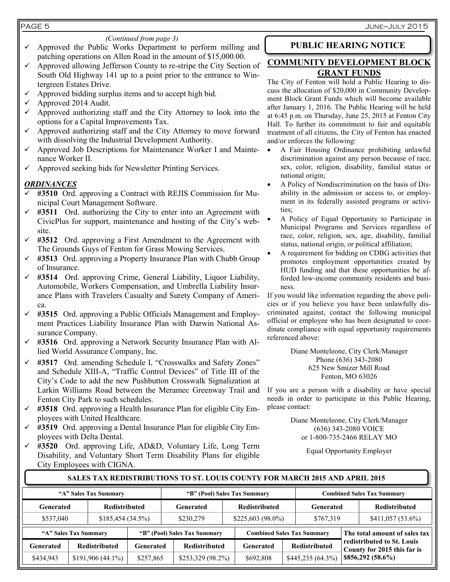#### PAGE 5 June—July 2015

#### *(Continued from page 3)*

- $\checkmark$  Approved the Public Works Department to perform milling and patching operations on Allen Road in the amount of \$15,000.00.
- $\checkmark$  Approved allowing Jefferson County to re-stripe the City Section of South Old Highway 141 up to a point prior to the entrance to Wintergreen Estates Drive.
- Approved bidding surplus items and to accept high bid.
- $\checkmark$  Approved 2014 Audit.
- $\checkmark$  Approved authorizing staff and the City Attorney to look into the options for a Capital Improvements Tax.
- $\checkmark$  Approved authorizing staff and the City Attorney to move forward with dissolving the Industrial Development Authority.
- $\checkmark$  Approved Job Descriptions for Maintenance Worker I and Maintenance Worker II.
- $\checkmark$  Approved seeking bids for Newsletter Printing Services.

#### *ORDINANCES*

- **#3510** Ord. approving a Contract with REJIS Commission for Municipal Court Management Software.
- $\checkmark$  #3511 Ord. authorizing the City to enter into an Agreement with CivicPlus for support, maintenance and hosting of the City's website.
- **#3512** Ord. approving a First Amendment to the Agreement with The Grounds Guys of Fenton for Grass Mowing Services.
- **#3513** Ord. approving a Property Insurance Plan with Chubb Group of Insurance.
- **#3514** Ord. approving Crime, General Liability, Liquor Liability, Automobile, Workers Compensation, and Umbrella Liability Insurance Plans with Travelers Casualty and Surety Company of America.
- **#3515** Ord. approving a Public Officials Management and Employment Practices Liability Insurance Plan with Darwin National Assurance Company.
- **#3516** Ord. approving a Network Security Insurance Plan with Allied World Assurance Company, Inc.
- **#3517** Ord. amending Schedule I, "Crosswalks and Safety Zones" and Schedule XIII-A, "Traffic Control Devices" of Title III of the City's Code to add the new Pushbutton Crosswalk Signalization at Larkin Williams Road between the Meramec Greenway Trail and Fenton City Park to such schedules.
- **#3518** Ord. approving a Health Insurance Plan for eligible City Employees with United Healthcare.
- **#3519** Ord. approving a Dental Insurance Plan for eligible City Employees with Delta Dental.
- **#3520** Ord. approving Life, AD&D, Voluntary Life, Long Term Disability, and Voluntary Short Term Disability Plans for eligible City Employees with CIGNA.

# **PUBLIC HEARING NOTICE**

### **COMMUNITY DEVELOPMENT BLOCK GRANT FUNDS**

The City of Fenton will hold a Public Hearing to discuss the allocation of \$20,000 in Community Development Block Grant Funds which will become available after January 1, 2016. The Public Hearing will be held at 6:45 p.m. on Thursday, June 25, 2015 at Fenton City Hall. To further its commitment to fair and equitable treatment of all citizens, the City of Fenton has enacted and/or enforces the following:

- A Fair Housing Ordinance prohibiting unlawful discrimination against any person because of race, sex, color, religion, disability, familial status or national origin;
- A Policy of Nondiscrimination on the basis of Disability in the admission or access to, or employment in its federally assisted programs or activities;
- A Policy of Equal Opportunity to Participate in Municipal Programs and Services regardless of race, color, religion, sex, age, disability, familial status, national origin, or political affiliation;
- A requirement for bidding on CDBG activities that promotes employment opportunities created by HUD funding and that these opportunities be afforded low-income community residents and business.

If you would like information regarding the above policies or if you believe you have been unlawfully discriminated against, contact the following municipal official or employee who has been designated to coordinate compliance with equal opportunity requirements referenced above:

> Diane Monteleone, City Clerk/Manager Phone (636) 343-2080 625 New Smizer Mill Road Fenton, MO 63026

If you are a person with a disability or have special needs in order to participate in this Public Hearing, please contact:

> Diane Monteleone, City Clerk/Manager (636) 343-2080 VOICE or 1-800-735-2466 RELAY MO

> > Equal Opportunity Employer

#### **"A" Sales Tax Summary "B" (Pool) Sales Tax Summary Combined Sales Tax Summary Generated Redistributed Generated Redistributed Generated Redistributed** \$537,040 \$185,454 (34.5%) \$230,279 \$225,603 (98.0%) \$767,319 \$411,057 (53.6%) **SALES TAX REDISTRIBUTIONS TO ST. LOUIS COUNTY FOR MARCH 2015 AND APRIL 2015 "A" Sales Tax Summary "B" (Pool) Sales Tax Summary Combined Sales Tax Summary The total amount of sales tax redistributed to St. Louis County for 2015 this far is \$856,292 (58.6%) Generated Redistributed Generated Redistributed Generated Redistributed**  $$434,943$   $$191,906$  (44.1%)  $$257,865$   $$253,329$  (98.2%)  $$692,808$   $$445,235$  (64.3%)